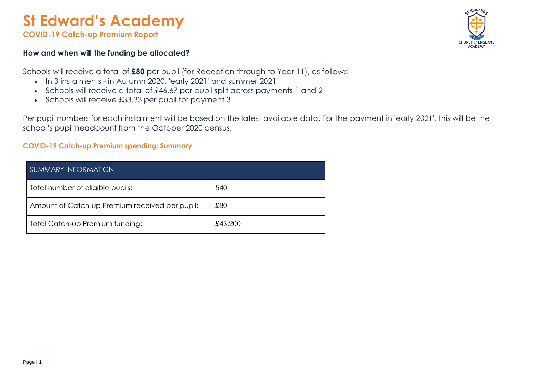# **St Edward's Academy**

**COVID-19 Catch-up Premium Report** 

#### **How and when will the funding be allocated?**

Schools will receive a total of **£80** per pupil (for Reception through to Year 11), as follows:

- In 3 instalments in Autumn 2020, 'early 2021' and summer 2021
- Schools will receive a total of £46.67 per pupil split across payments 1 and 2
- Schools will receive £33.33 per pupil for payment 3

Per pupil numbers for each instalment will be based on the latest available data. For the payment in 'early 2021', this will be the school's pupil headcount from the October 2020 census.

#### **COVID-19 Catch-up Premium spending: Summary**

| <b>SUMMARY INFORMATION</b>                     |         |
|------------------------------------------------|---------|
| Total number of eligible pupils:               | 540     |
| Amount of Catch-up Premium received per pupil: | £80     |
| Total Catch-up Premium funding:                | £43,200 |

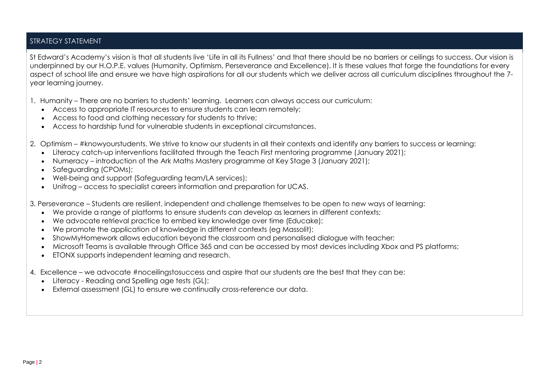### STRATEGY STATEMENT

St Edward's Academy's vision is that all students live 'Life in all its Fullness' and that there should be no barriers or ceilings to success. Our vision is underpinned by our H.O.P.E. values (Humanity, Optimism, Perseverance and Excellence). It is these values that forge the foundations for every aspect of school life and ensure we have high aspirations for all our students which we deliver across all curriculum disciplines throughout the 7 year learning journey.

1. Humanity – There are no barriers to students' learning. Learners can always access our curriculum:

- Access to appropriate IT resources to ensure students can learn remotely;
- Access to food and clothing necessary for students to thrive;
- Access to hardship fund for vulnerable students in exceptional circumstances.
- 2. Optimism #knowyourstudents. We strive to know our students in all their contexts and identify any barriers to success or learning:
	- Literacy catch-up interventions facilitated through the Teach First mentoring programme (January 2021);
	- Numeracy introduction of the Ark Maths Mastery programme at Key Stage 3 (January 2021);
	- Safeguarding (CPOMs);
	- Well-being and support (Safeguarding team/LA services);
	- Unifrog access to specialist careers information and preparation for UCAS.

3. Perseverance – Students are resilient, independent and challenge themselves to be open to new ways of learning:

- We provide a range of platforms to ensure students can develop as learners in different contexts;
- We advocate retrieval practice to embed key knowledge over time (Educake);
- We promote the application of knowledge in different contexts (eg Massolit);
- ShowMyHomework allows education beyond the classroom and personalised dialogue with teacher;
- Microsoft Teams is available through Office 365 and can be accessed by most devices including Xbox and PS platforms;
- ETONX supports independent learning and research.
- 4. Excellence we advocate #noceilingstosuccess and aspire that our students are the best that they can be:
	- Literacy Reading and Spelling age tests (GL);
	- External assessment (GL) to ensure we continually cross-reference our data.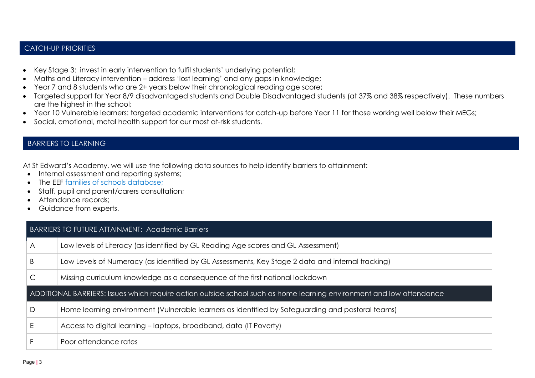## CATCH-UP PRIORITIES

- Key Stage 3: invest in early intervention to fulfil students' underlying potential;
- Maths and Literacy intervention address 'lost learning' and any gaps in knowledge;
- Year 7 and 8 students who are 2+ years below their chronological reading age score;
- Targeted support for Year 8/9 disadvantaged students and Double Disadvantaged students (at 37% and 38% respectively). These numbers are the highest in the school;
- Year 10 Vulnerable learners: targeted academic interventions for catch-up before Year 11 for those working well below their MEGs;
- Social, emotional, metal health support for our most at-risk students.

## BARRIERS TO LEARNING

At St Edward's Academy, we will use the following data sources to help identify barriers to attainment:

- Internal assessment and reporting systems;
- The EEF [families of schools database;](https://educationendowmentfoundation.org.uk/tools/families-of-schools-database)
- Staff, pupil and parent/carers consultation;
- Attendance records;
- Guidance from experts.

#### BARRIERS TO FUTURE ATTAINMENT: Academic Barriers

| Α | Low levels of Literacy (as identified by GL Reading Age scores and GL Assessment)                                    |
|---|----------------------------------------------------------------------------------------------------------------------|
| B | Low Levels of Numeracy (as identified by GL Assessments, Key Stage 2 data and internal tracking)                     |
| C | Missing curriculum knowledge as a consequence of the first national lockdown                                         |
|   | ADDITIONAL BARRIERS: Issues which require action outside school such as home learning environment and low attendance |
| D | Home learning environment (Vulnerable learners as identified by Safeguarding and pastoral teams)                     |
|   | Access to digital learning – laptops, broadband, data (IT Poverty)                                                   |
|   | Poor attendance rates                                                                                                |
|   |                                                                                                                      |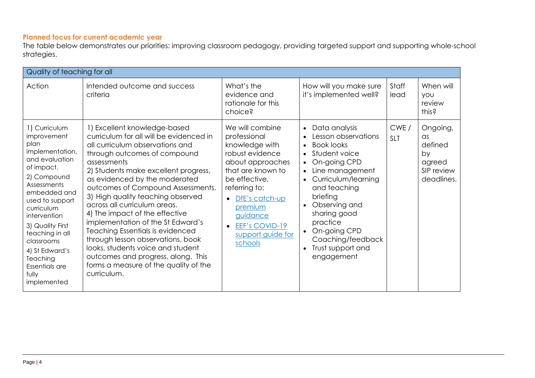## **Planned focus for current academic year**

The table below demonstrates our priorities: improving classroom pedagogy, providing targeted support and supporting whole-school strategies.

| Quality of teaching for all                                                                                                                                                                                                                                                                                         |                                                                                                                                                                                                                                                                                                                                                                                                                                                                                                                                                                                                                                        |                                                                                                                                                                                                                                            |                                                                                                                                                                                                                                                                                                                                                                                               |                    |                                                                               |
|---------------------------------------------------------------------------------------------------------------------------------------------------------------------------------------------------------------------------------------------------------------------------------------------------------------------|----------------------------------------------------------------------------------------------------------------------------------------------------------------------------------------------------------------------------------------------------------------------------------------------------------------------------------------------------------------------------------------------------------------------------------------------------------------------------------------------------------------------------------------------------------------------------------------------------------------------------------------|--------------------------------------------------------------------------------------------------------------------------------------------------------------------------------------------------------------------------------------------|-----------------------------------------------------------------------------------------------------------------------------------------------------------------------------------------------------------------------------------------------------------------------------------------------------------------------------------------------------------------------------------------------|--------------------|-------------------------------------------------------------------------------|
| Action                                                                                                                                                                                                                                                                                                              | Intended outcome and success<br>criteria                                                                                                                                                                                                                                                                                                                                                                                                                                                                                                                                                                                               | What's the<br>evidence and<br>rationale for this<br>choice?                                                                                                                                                                                | How will you make sure<br>it's implemented well?                                                                                                                                                                                                                                                                                                                                              | Staff<br>lead      | When will<br><b>YOU</b><br>review<br>this?                                    |
| 1) Curriculum<br>improvement<br>plan<br>implementation,<br>and evaluation<br>of impact.<br>2) Compound<br>Assessments<br>embedded and<br>used to support<br>curriculum<br>intervention<br>3) Quality First<br>teaching in all<br>classrooms<br>4) St Edward's<br>Teaching<br>Essentials are<br>fully<br>implemented | 1) Excellent knowledge-based<br>curriculum for all will be evidenced in<br>all curriculum observations and<br>through outcomes of compound<br>assessments<br>2) Students make excellent progress,<br>as evidenced by the moderated<br>outcomes of Compound Assessments.<br>3) High quality teaching observed<br>across all curriculum areas.<br>4) The impact of the effective<br>implementation of the St Edward's<br><b>Teaching Essentials is evidenced</b><br>through lesson observations, book<br>looks, students voice and student<br>outcomes and progress, along. This<br>forms a measure of the quality of the<br>curriculum. | We will combine<br>professional<br>knowledge with<br>robust evidence<br>about approaches<br>that are known to<br>be effective,<br>referring to:<br>DfE's catch-up<br>premium<br>guidance<br>EEF's COVID-19<br>support guide for<br>schools | Data analysis<br>$\bullet$<br>Lesson observations<br><b>Book looks</b><br>$\bullet$<br>Student voice<br>$\bullet$<br>On-going CPD<br>$\bullet$<br>Line management<br>$\bullet$<br>Curriculum/learning<br>and teaching<br>briefing<br>Observing and<br>$\bullet$<br>sharing good<br>practice<br>On-going CPD<br>$\bullet$<br>Coaching/feedback<br>Trust support and<br>$\bullet$<br>engagement | CWE/<br><b>SLT</b> | Ongoing,<br>$\alpha$ s<br>defined<br>by<br>agreed<br>SIP review<br>deadlines. |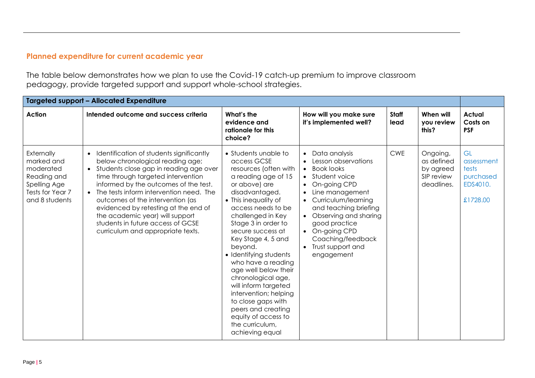# **Planned expenditure for current academic year**

The table below demonstrates how we plan to use the Covid-19 catch-up premium to improve classroom pedagogy, provide targeted support and support whole-school strategies.

|                                                                                                            | <b>Targeted support - Allocated Expenditure</b>                                                                                                                                                                                                                                                                                                                                                                                                            |                                                                                                                                                                                                                                                                                                                                                                                                                                                                                                                                |                                                                                                                                                                                                                                                                                                                                       |                      |                                                                 |                                                                |
|------------------------------------------------------------------------------------------------------------|------------------------------------------------------------------------------------------------------------------------------------------------------------------------------------------------------------------------------------------------------------------------------------------------------------------------------------------------------------------------------------------------------------------------------------------------------------|--------------------------------------------------------------------------------------------------------------------------------------------------------------------------------------------------------------------------------------------------------------------------------------------------------------------------------------------------------------------------------------------------------------------------------------------------------------------------------------------------------------------------------|---------------------------------------------------------------------------------------------------------------------------------------------------------------------------------------------------------------------------------------------------------------------------------------------------------------------------------------|----------------------|-----------------------------------------------------------------|----------------------------------------------------------------|
| <b>Action</b>                                                                                              | Intended outcome and success criteria                                                                                                                                                                                                                                                                                                                                                                                                                      | What's the<br>evidence and<br>rationale for this<br>choice?                                                                                                                                                                                                                                                                                                                                                                                                                                                                    | How will you make sure<br>it's implemented well?                                                                                                                                                                                                                                                                                      | <b>Staff</b><br>lead | When will<br><b>vou review</b><br>this?                         | <b>Actual</b><br>Costs on<br><b>PSF</b>                        |
| Externally<br>marked and<br>moderated<br>Reading and<br>Spelling Age<br>Tests for Year 7<br>and 8 students | Identification of students significantly<br>$\bullet$<br>below chronological reading age;<br>• Students close gap in reading age over<br>time through targeted intervention<br>informed by the outcomes of the test.<br>• The tests inform intervention need. The<br>outcomes of the intervention (as<br>evidenced by retesting at the end of<br>the academic year) will support<br>students in future access of GCSE<br>curriculum and appropriate texts. | • Students unable to<br>access GCSE<br>resources (often with<br>a reading age of 15<br>or above) are<br>disadvantaged.<br>• This inequality of<br>access needs to be<br>challenged in Key<br>Stage 3 in order to<br>secure success at<br>Key Stage 4, 5 and<br>beyond.<br>• Identifying students<br>who have a reading<br>age well below their<br>chronological age,<br>will inform targeted<br>intervention; helping<br>to close gaps with<br>peers and creating<br>equity of access to<br>the curriculum,<br>achieving equal | Data analysis<br>$\bullet$<br>Lesson observations<br><b>Book looks</b><br>$\bullet$<br>Student voice<br>On-going CPD<br>Line management<br>$\bullet$<br>Curriculum/learning<br>$\bullet$<br>and teaching briefing<br>Observing and sharing<br>good practice<br>• On-going CPD<br>Coaching/feedback<br>Trust support and<br>engagement | <b>CWE</b>           | Ongoing,<br>as defined<br>by agreed<br>SIP review<br>deadlines. | GL<br>assessment<br>tests<br>purchased<br>EDS4010.<br>£1728.00 |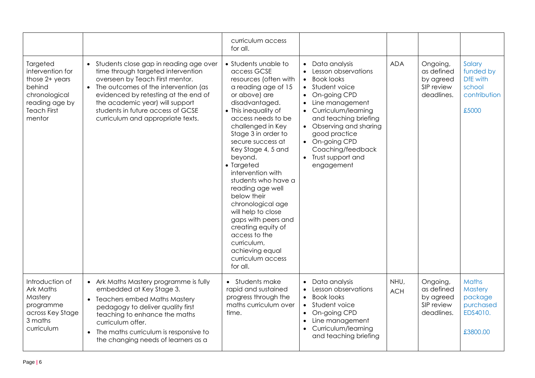|                                                                                                                             |                                                                                                                                                                                                                                                                                                                             | curriculum access<br>for all.                                                                                                                                                                                                                                                                                                                                                                                                                                                                                                                   |                                                                                                                                                                                                                                                                                                                                                                       |                    |                                                                 |                                                                         |
|-----------------------------------------------------------------------------------------------------------------------------|-----------------------------------------------------------------------------------------------------------------------------------------------------------------------------------------------------------------------------------------------------------------------------------------------------------------------------|-------------------------------------------------------------------------------------------------------------------------------------------------------------------------------------------------------------------------------------------------------------------------------------------------------------------------------------------------------------------------------------------------------------------------------------------------------------------------------------------------------------------------------------------------|-----------------------------------------------------------------------------------------------------------------------------------------------------------------------------------------------------------------------------------------------------------------------------------------------------------------------------------------------------------------------|--------------------|-----------------------------------------------------------------|-------------------------------------------------------------------------|
| Targeted<br>intervention for<br>those 2+ years<br>behind<br>chronological<br>reading age by<br><b>Teach First</b><br>mentor | Students close gap in reading age over<br>$\bullet$<br>time through targeted intervention<br>overseen by Teach First mentor.<br>• The outcomes of the intervention (as<br>evidenced by retesting at the end of<br>the academic year) will support<br>students in future access of GCSE<br>curriculum and appropriate texts. | • Students unable to<br>access GCSE<br>resources (often with<br>a reading age of 15<br>or above) are<br>disadvantaged.<br>• This inequality of<br>access needs to be<br>challenged in Key<br>Stage 3 in order to<br>secure success at<br>Key Stage 4, 5 and<br>beyond.<br>• Targeted<br>intervention with<br>students who have a<br>reading age well<br>below their<br>chronological age<br>will help to close<br>gaps with peers and<br>creating equity of<br>access to the<br>curriculum,<br>achieving equal<br>curriculum access<br>for all. | Data analysis<br>Lesson observations<br>$\bullet$<br>Book looks<br>$\bullet$<br>Student voice<br>$\bullet$<br>On-going CPD<br>$\bullet$<br>Line management<br>$\bullet$<br>Curriculum/learning<br>$\bullet$<br>and teaching briefing<br>• Observing and sharing<br>good practice<br>On-going CPD<br>Coaching/feedback<br>Trust support and<br>$\bullet$<br>engagement | <b>ADA</b>         | Ongoing,<br>as defined<br>by agreed<br>SIP review<br>deadlines. | Salary<br>funded by<br>DfE with<br>school<br>contribution<br>£5000      |
| Introduction of<br>Ark Maths<br>Mastery<br>programme<br>across Key Stage<br>3 maths<br>curriculum                           | • Ark Maths Mastery programme is fully<br>embedded at Key Stage 3.<br>• Teachers embed Maths Mastery<br>pedagogy to deliver quality first<br>teaching to enhance the maths<br>curriculum offer.<br>The maths curriculum is responsive to<br>the changing needs of learners as a                                             | • Students make<br>rapid and sustained<br>progress through the<br>maths curriculum over<br>time.                                                                                                                                                                                                                                                                                                                                                                                                                                                | Data analysis<br>$\bullet$<br>Lesson observations<br><b>Book looks</b><br>$\bullet$<br>Student voice<br>$\bullet$<br>On-going CPD<br>$\bullet$<br>Line management<br>$\bullet$<br>Curriculum/learning<br>$\bullet$<br>and teaching briefing                                                                                                                           | NHU,<br><b>ACH</b> | Ongoing,<br>as defined<br>by agreed<br>SIP review<br>deadlines. | Maths<br><b>Mastery</b><br>package<br>purchased<br>EDS4010.<br>£3800.00 |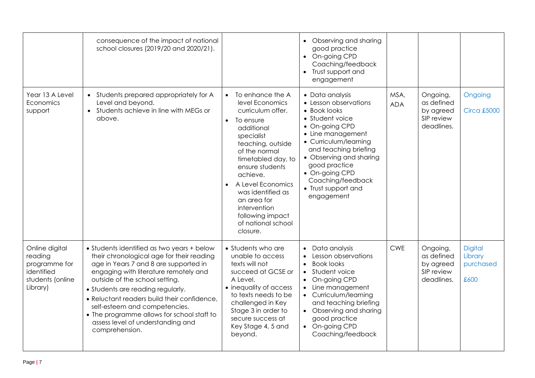|                                                                                          | consequence of the impact of national<br>school closures (2019/20 and 2020/21).                                                                                                                                                                                                                                                                                                                                                       |                                                                                                                                                                                                                                                                                                                                          | Observing and sharing<br>good practice<br>On-going CPD<br>Coaching/feedback<br>• Trust support and<br>engagement                                                                                                                                                                             |                    |                                                                 |                                                |
|------------------------------------------------------------------------------------------|---------------------------------------------------------------------------------------------------------------------------------------------------------------------------------------------------------------------------------------------------------------------------------------------------------------------------------------------------------------------------------------------------------------------------------------|------------------------------------------------------------------------------------------------------------------------------------------------------------------------------------------------------------------------------------------------------------------------------------------------------------------------------------------|----------------------------------------------------------------------------------------------------------------------------------------------------------------------------------------------------------------------------------------------------------------------------------------------|--------------------|-----------------------------------------------------------------|------------------------------------------------|
| Year 13 A Level<br>Economics<br>support                                                  | • Students prepared appropriately for A<br>Level and beyond.<br>• Students achieve in line with MEGs or<br>above.                                                                                                                                                                                                                                                                                                                     | To enhance the A<br>level Economics<br>curriculum offer.<br>To ensure<br>additional<br>specialist<br>teaching, outside<br>of the normal<br>timetabled day, to<br>ensure students<br>achieve.<br>A Level Economics<br>$\bullet$<br>was identified as<br>an area for<br>intervention<br>following impact<br>of national school<br>closure. | • Data analysis<br>• Lesson observations<br>• Book looks<br>• Student voice<br>• On-going CPD<br>• Line management<br>• Curriculum/learning<br>and teaching briefing<br>• Observing and sharing<br>good practice<br>• On-going CPD<br>Coaching/feedback<br>• Trust support and<br>engagement | MSA,<br><b>ADA</b> | Ongoing,<br>as defined<br>by agreed<br>SIP review<br>deadlines. | Ongoing<br><b>Circa £5000</b>                  |
| Online digital<br>reading<br>programme for<br>identified<br>students (online<br>Library) | • Students identified as two years + below<br>their chronological age for their reading<br>age in Years 7 and 8 are supported in<br>engaging with literature remotely and<br>outside of the school setting.<br>• Students are reading regularly.<br>• Reluctant readers build their confidence,<br>self-esteem and competencies.<br>• The programme allows for school staff to<br>assess level of understanding and<br>comprehension. | • Students who are<br>unable to access<br>texts will not<br>succeed at GCSE or<br>A Level.<br>• inequality of access<br>to texts needs to be<br>challenged in Key<br>Stage 3 in order to<br>secure success at<br>Key Stage 4, 5 and<br>beyond.                                                                                           | Data analysis<br>Lesson observations<br><b>Book looks</b><br>$\bullet$<br>Student voice<br>On-going CPD<br>$\bullet$<br>Line management<br>• Curriculum/learning<br>and teaching briefing<br>• Observing and sharing<br>good practice<br>• On-going CPD<br>Coaching/feedback                 | <b>CWE</b>         | Ongoing,<br>as defined<br>by agreed<br>SIP review<br>deadlines. | <b>Digital</b><br>Library<br>purchased<br>£600 |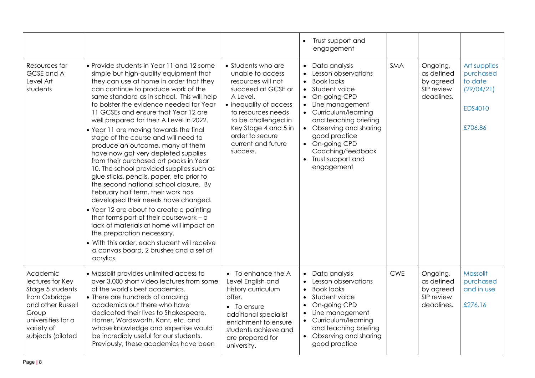|                                                                                                                                                          |                                                                                                                                                                                                                                                                                                                                                                                                                                                                                                                                                                                                                                                                                                                                                                                                                                                                                                                                                                                                                                                   |                                                                                                                                                                                                                                                    | Trust support and<br>engagement                                                                                                                                                                                                                                                       |            |                                                                 |                                                                          |
|----------------------------------------------------------------------------------------------------------------------------------------------------------|---------------------------------------------------------------------------------------------------------------------------------------------------------------------------------------------------------------------------------------------------------------------------------------------------------------------------------------------------------------------------------------------------------------------------------------------------------------------------------------------------------------------------------------------------------------------------------------------------------------------------------------------------------------------------------------------------------------------------------------------------------------------------------------------------------------------------------------------------------------------------------------------------------------------------------------------------------------------------------------------------------------------------------------------------|----------------------------------------------------------------------------------------------------------------------------------------------------------------------------------------------------------------------------------------------------|---------------------------------------------------------------------------------------------------------------------------------------------------------------------------------------------------------------------------------------------------------------------------------------|------------|-----------------------------------------------------------------|--------------------------------------------------------------------------|
| Resources for<br>GCSE and A<br>Level Art<br>students                                                                                                     | • Provide students in Year 11 and 12 some<br>simple but high-quality equipment that<br>they can use at home in order that they<br>can continue to produce work of the<br>same standard as in school. This will help<br>to bolster the evidence needed for Year<br>11 GCSEs and ensure that Year 12 are<br>well prepared for their A Level in 2022.<br>• Year 11 are moving towards the final<br>stage of the course and will need to<br>produce an outcome, many of them<br>have now got very depleted supplies<br>from their purchased art packs in Year<br>10. The school provided supplies such as<br>glue sticks, pencils, paper, etc prior to<br>the second national school closure. By<br>February half term, their work has<br>developed their needs have changed.<br>• Year 12 are about to create a painting<br>that forms part of their coursework - a<br>lack of materials at home will impact on<br>the preparation necessary.<br>• With this order, each student will receive<br>a canvas board, 2 brushes and a set of<br>acrylics. | • Students who are<br>unable to access<br>resources will not<br>succeed at GCSE or<br>A Level.<br>• inequality of access<br>to resources needs<br>to be challenged in<br>Key Stage 4 and 5 in<br>order to secure<br>current and future<br>success. | Data analysis<br>Lesson observations<br><b>Book looks</b><br>Student voice<br>On-going CPD<br>Line management<br>Curriculum/learning<br>and teaching briefing<br>• Observing and sharing<br>good practice<br>• On-going CPD<br>Coaching/feedback<br>• Trust support and<br>engagement | SMA        | Ongoing,<br>as defined<br>by agreed<br>SIP review<br>deadlines. | Art supplies<br>purchased<br>to date<br>(29/04/21)<br>EDS4010<br>£706.86 |
| Academic<br>lectures for Key<br>Stage 5 students<br>from Oxbridge<br>and other Russell<br>Group<br>universities for a<br>variety of<br>subjects (piloted | • Massolit provides unlimited access to<br>over 3,000 short video lectures from some<br>of the world's best academics.<br>• There are hundreds of amazing<br>academics out there who have<br>dedicated their lives to Shakespeare,<br>Homer, Wordsworth, Kant, etc. and<br>whose knowledge and expertise would<br>be incredibly useful for our students.<br>Previously, these academics have been                                                                                                                                                                                                                                                                                                                                                                                                                                                                                                                                                                                                                                                 | • To enhance the A<br>Level English and<br>History curriculum<br>offer.<br>$\bullet$ To ensure<br>additional specialist<br>enrichment to ensure<br>students achieve and<br>are prepared for<br>university.                                         | Data analysis<br>Lesson observations<br><b>Book looks</b><br>$\bullet$<br>Student voice<br>$\bullet$<br>On-going CPD<br>Line management<br>Curriculum/learning<br>and teaching briefing<br>Observing and sharing<br>good practice                                                     | <b>CWE</b> | Ongoing,<br>as defined<br>by agreed<br>SIP review<br>deadlines. | Massolit<br>purchased<br>and in use<br>£276.16                           |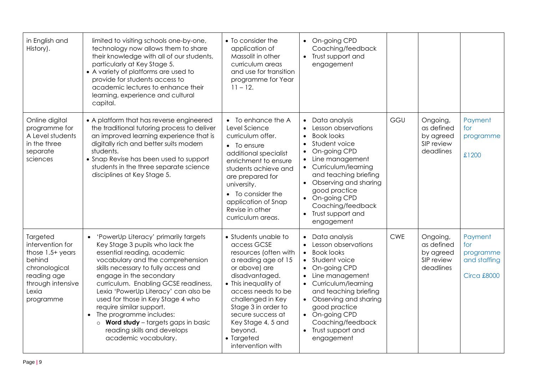| in English and<br>History).                                                                                                             | limited to visiting schools one-by-one,<br>technology now allows them to share<br>their knowledge with all of our students,<br>particularly at Key Stage 5.<br>• A variety of platforms are used to<br>provide for students access to<br>academic lectures to enhance their<br>learning, experience and cultural<br>capital.                                                                                                                                                                       | • To consider the<br>application of<br>Massolit in other<br>curriculum areas<br>and use for transition<br>programme for Year<br>$11 - 12$ .                                                                                                                                                               | • On-going CPD<br>Coaching/feedback<br>• Trust support and<br>engagement                                                                                                                                                                                                                                                     |            |                                                                |                                                                   |
|-----------------------------------------------------------------------------------------------------------------------------------------|----------------------------------------------------------------------------------------------------------------------------------------------------------------------------------------------------------------------------------------------------------------------------------------------------------------------------------------------------------------------------------------------------------------------------------------------------------------------------------------------------|-----------------------------------------------------------------------------------------------------------------------------------------------------------------------------------------------------------------------------------------------------------------------------------------------------------|------------------------------------------------------------------------------------------------------------------------------------------------------------------------------------------------------------------------------------------------------------------------------------------------------------------------------|------------|----------------------------------------------------------------|-------------------------------------------------------------------|
| Online digital<br>programme for<br>A Level students<br>in the three<br>separate<br>sciences                                             | • A platform that has reverse engineered<br>the traditional tutoring process to deliver<br>an improved learning experience that is<br>digitally rich and better suits modern<br>students.<br>• Snap Revise has been used to support<br>students in the three separate science<br>disciplines at Key Stage 5.                                                                                                                                                                                       | • To enhance the A<br>Level Science<br>curriculum offer.<br>$\bullet$ To ensure<br>additional specialist<br>enrichment to ensure<br>students achieve and<br>are prepared for<br>university.<br>• To consider the<br>application of Snap<br>Revise in other<br>curriculum areas.                           | Data analysis<br>$\bullet$<br>Lesson observations<br><b>Book looks</b><br>$\bullet$<br>Student voice<br>On-going CPD<br>Line management<br>$\bullet$<br>• Curriculum/learning<br>and teaching briefing<br>Observing and sharing<br>good practice<br>• On-going CPD<br>Coaching/feedback<br>• Trust support and<br>engagement | GGU        | Ongoing,<br>as defined<br>by agreed<br>SIP review<br>deadlines | Payment<br>for<br>programme<br>£1200                              |
| Targeted<br>intervention for<br>those $1.5+$ years<br>behind<br>chronological<br>reading age<br>through intensive<br>Lexia<br>programme | • 'PowerUp Literacy' primarily targets<br>Key Stage 3 pupils who lack the<br>essential reading, academic<br>vocabulary and the comprehension<br>skills necessary to fully access and<br>engage in the secondary<br>curriculum. Enabling GCSE readiness,<br>Lexia 'PowerUp Literacy' can also be<br>used for those in Key Stage 4 who<br>require similar support.<br>• The programme includes:<br>$\circ$ Word study - targets gaps in basic<br>reading skills and develops<br>academic vocabulary. | • Students unable to<br>access GCSE<br>resources (often with<br>a reading age of 15<br>or above) are<br>disadvantaged.<br>• This inequality of<br>access needs to be<br>challenged in Key<br>Stage 3 in order to<br>secure success at<br>Key Stage 4, 5 and<br>beyond.<br>• Targeted<br>intervention with | Data analysis<br>Lesson observations<br><b>Book looks</b><br>$\bullet$<br>• Student voice<br>On-going CPD<br>Line management<br>Curriculum/learning<br>and teaching briefing<br>• Observing and sharing<br>good practice<br>• On-going CPD<br>Coaching/feedback<br>• Trust support and<br>engagement                         | <b>CWE</b> | Ongoing,<br>as defined<br>by agreed<br>SIP review<br>deadlines | Payment<br>for<br>programme<br>and staffing<br><b>Circa £8000</b> |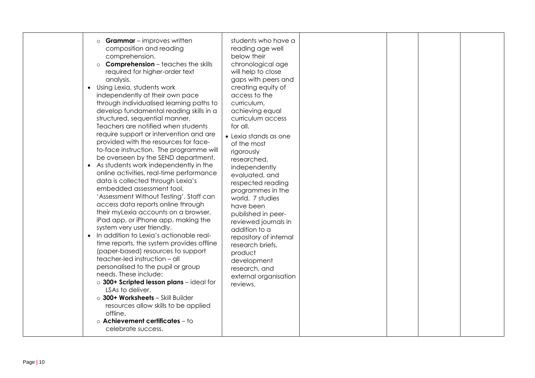| <b>Grammar</b> - improves written<br>$\circ$<br>composition and reading<br>comprehension.<br>$\circ$ <b>Comprehension</b> – teaches the skills<br>required for higher-order text<br>analysis.<br>• Using Lexia, students work<br>independently at their own pace<br>through individualised learning paths to<br>develop fundamental reading skills in a<br>structured, sequential manner.<br>Teachers are notified when students<br>require support or intervention and are<br>provided with the resources for face-<br>to-face instruction. The programme will<br>be overseen by the SEND department.<br>• As students work independently in the<br>online activities, real-time performance<br>data is collected through Lexia's<br>embedded assessment tool,<br>'Assessment Without Testing'. Staff can<br>access data reports online through<br>their myLexia accounts on a browser,<br>iPad app, or iPhone app, making the<br>system very user friendly.<br>• In addition to Lexia's actionable real-<br>time reports, the system provides offline<br>(paper-based) resources to support<br>teacher-led instruction - all<br>personalised to the pupil or group<br>needs. These include:<br>o 300+ Scripted lesson plans - ideal for<br>LSAs to deliver.<br>o 300+ Worksheets - Skill Builder<br>resources allow skills to be applied<br>offline.<br>o Achievement certificates - to<br>celebrate success. | students who have a<br>reading age well<br>below their<br>chronological age<br>will help to close<br>gaps with peers and<br>creating equity of<br>access to the<br>curriculum,<br>achieving equal<br>curriculum access<br>for all.<br>• Lexia stands as one<br>of the most<br>rigorously<br>researched,<br>independently<br>evaluated, and<br>respected reading<br>programmes in the<br>world. 7 studies<br>have been<br>published in peer-<br>reviewed journals in<br>addition to a<br>repository of internal<br>research briefs,<br>product<br>development<br>research, and<br>external organisation<br>reviews. |  |  |  |  |
|-----------------------------------------------------------------------------------------------------------------------------------------------------------------------------------------------------------------------------------------------------------------------------------------------------------------------------------------------------------------------------------------------------------------------------------------------------------------------------------------------------------------------------------------------------------------------------------------------------------------------------------------------------------------------------------------------------------------------------------------------------------------------------------------------------------------------------------------------------------------------------------------------------------------------------------------------------------------------------------------------------------------------------------------------------------------------------------------------------------------------------------------------------------------------------------------------------------------------------------------------------------------------------------------------------------------------------------------------------------------------------------------------------------------|--------------------------------------------------------------------------------------------------------------------------------------------------------------------------------------------------------------------------------------------------------------------------------------------------------------------------------------------------------------------------------------------------------------------------------------------------------------------------------------------------------------------------------------------------------------------------------------------------------------------|--|--|--|--|
|-----------------------------------------------------------------------------------------------------------------------------------------------------------------------------------------------------------------------------------------------------------------------------------------------------------------------------------------------------------------------------------------------------------------------------------------------------------------------------------------------------------------------------------------------------------------------------------------------------------------------------------------------------------------------------------------------------------------------------------------------------------------------------------------------------------------------------------------------------------------------------------------------------------------------------------------------------------------------------------------------------------------------------------------------------------------------------------------------------------------------------------------------------------------------------------------------------------------------------------------------------------------------------------------------------------------------------------------------------------------------------------------------------------------|--------------------------------------------------------------------------------------------------------------------------------------------------------------------------------------------------------------------------------------------------------------------------------------------------------------------------------------------------------------------------------------------------------------------------------------------------------------------------------------------------------------------------------------------------------------------------------------------------------------------|--|--|--|--|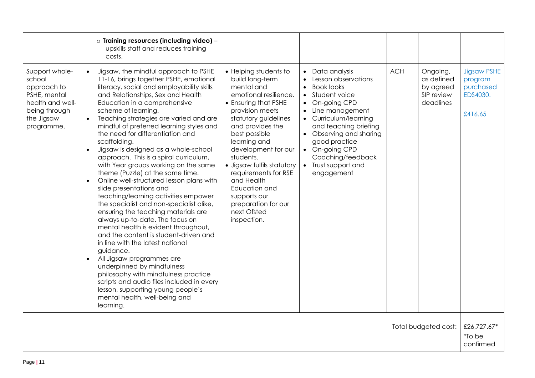|                                                                                                                          |                                                  | o Training resources (including video) -<br>upskills staff and reduces training<br>costs.                                                                                                                                                                                                                                                                                                                                                                                                                                                                                                                                                                                                                                                                                                                                                                                                                                                                                                                                                                                                                                                 |                                                                                                                                                                                                                                                                                                                                                                                                       |                                                                                                                                                                                                                                                                                         |            |                                                                |                                                                   |
|--------------------------------------------------------------------------------------------------------------------------|--------------------------------------------------|-------------------------------------------------------------------------------------------------------------------------------------------------------------------------------------------------------------------------------------------------------------------------------------------------------------------------------------------------------------------------------------------------------------------------------------------------------------------------------------------------------------------------------------------------------------------------------------------------------------------------------------------------------------------------------------------------------------------------------------------------------------------------------------------------------------------------------------------------------------------------------------------------------------------------------------------------------------------------------------------------------------------------------------------------------------------------------------------------------------------------------------------|-------------------------------------------------------------------------------------------------------------------------------------------------------------------------------------------------------------------------------------------------------------------------------------------------------------------------------------------------------------------------------------------------------|-----------------------------------------------------------------------------------------------------------------------------------------------------------------------------------------------------------------------------------------------------------------------------------------|------------|----------------------------------------------------------------|-------------------------------------------------------------------|
| Support whole-<br>school<br>approach to<br>PSHE, mental<br>health and well-<br>being through<br>the Jigsaw<br>programme. | $\bullet$<br>$\bullet$<br>$\bullet$<br>$\bullet$ | Jigsaw, the mindful approach to PSHE<br>11-16, brings together PSHE, emotional<br>literacy, social and employability skills<br>and Relationships, Sex and Health<br>Education in a comprehensive<br>scheme of learning.<br>Teaching strategies are varied and are<br>mindful of preferred learning styles and<br>the need for differentiation and<br>scaffolding.<br>Jigsaw is designed as a whole-school<br>approach. This is a spiral curriculum,<br>with Year groups working on the same<br>theme (Puzzle) at the same time.<br>Online well-structured lesson plans with<br>slide presentations and<br>teaching/learning activities empower<br>the specialist and non-specialist alike,<br>ensuring the teaching materials are<br>always up-to-date. The focus on<br>mental health is evident throughout,<br>and the content is student-driven and<br>in line with the latest national<br>guidance.<br>All Jigsaw programmes are<br>underpinned by mindfulness<br>philosophy with mindfulness practice<br>scripts and audio files included in every<br>lesson, supporting young people's<br>mental health, well-being and<br>learning. | • Helping students to<br>build long-term<br>mental and<br>emotional resilience.<br>• Ensuring that PSHE<br>provision meets<br>statutory guidelines<br>and provides the<br>best possible<br>learning and<br>development for our<br>students.<br>· Jigsaw fulfils statutory<br>requirements for RSE<br>and Health<br>Education and<br>supports our<br>preparation for our<br>next Ofsted<br>inspection. | • Data analysis<br>Lesson observations<br><b>Book looks</b><br>Student voice<br>On-going CPD<br>• Line management<br>• Curriculum/learning<br>and teaching briefing<br>• Observing and sharing<br>good practice<br>On-going CPD<br>Coaching/feedback<br>Trust support and<br>engagement | <b>ACH</b> | Ongoing,<br>as defined<br>by agreed<br>SIP review<br>deadlines | <b>Jigsaw PSHE</b><br>program<br>purchased<br>EDS4030.<br>£416.65 |
|                                                                                                                          |                                                  |                                                                                                                                                                                                                                                                                                                                                                                                                                                                                                                                                                                                                                                                                                                                                                                                                                                                                                                                                                                                                                                                                                                                           |                                                                                                                                                                                                                                                                                                                                                                                                       |                                                                                                                                                                                                                                                                                         |            | Total budgeted cost:                                           | £26,727.67*<br>*To be<br>confirmed                                |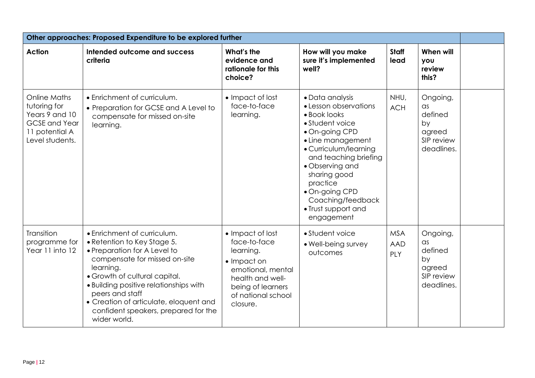| Other approaches: Proposed Expenditure to be explored further                                                      |                                                                                                                                                                                                                                                                                                                                          |                                                                                                                                                                      |                                                                                                                                                                                                                                                                                                 |                                 |                                                                               |  |  |
|--------------------------------------------------------------------------------------------------------------------|------------------------------------------------------------------------------------------------------------------------------------------------------------------------------------------------------------------------------------------------------------------------------------------------------------------------------------------|----------------------------------------------------------------------------------------------------------------------------------------------------------------------|-------------------------------------------------------------------------------------------------------------------------------------------------------------------------------------------------------------------------------------------------------------------------------------------------|---------------------------------|-------------------------------------------------------------------------------|--|--|
| <b>Action</b>                                                                                                      | Intended outcome and success<br>criteria                                                                                                                                                                                                                                                                                                 | What's the<br>evidence and<br>rationale for this<br>choice?                                                                                                          | How will you make<br>sure it's implemented<br>well?                                                                                                                                                                                                                                             | Staff<br>lead                   | When will<br><b>VOU</b><br>review<br>this?                                    |  |  |
| <b>Online Maths</b><br>tutoring for<br>Years 9 and 10<br><b>GCSE</b> and Year<br>11 potential A<br>Level students. | • Enrichment of curriculum.<br>• Preparation for GCSE and A Level to<br>compensate for missed on-site<br>learning.                                                                                                                                                                                                                       | • Impact of lost<br>face-to-face<br>learning.                                                                                                                        | • Data analysis<br>• Lesson observations<br>• Book looks<br>• Student voice<br>• On-going CPD<br>• Line management<br>• Curriculum/learning<br>and teaching briefing<br>• Observing and<br>sharing good<br>practice<br>· On-going CPD<br>Coaching/feedback<br>• Trust support and<br>engagement | NHU,<br><b>ACH</b>              | Ongoing,<br>as<br>defined<br>by<br>agreed<br>SIP review<br>deadlines.         |  |  |
| Transition<br>programme for<br>Year 11 into 12                                                                     | • Enrichment of curriculum.<br>• Retention to Key Stage 5.<br>• Preparation for A Level to<br>compensate for missed on-site<br>learning.<br>• Growth of cultural capital.<br>• Building positive relationships with<br>peers and staff<br>• Creation of articulate, eloquent and<br>confident speakers, prepared for the<br>wider world. | • Impact of lost<br>face-to-face<br>learning.<br>$\bullet$ Impact on<br>emotional, mental<br>health and well-<br>being of learners<br>of national school<br>closure. | • Student voice<br>· Well-being survey<br>outcomes                                                                                                                                                                                                                                              | <b>MSA</b><br><b>AAD</b><br>PLY | Ongoing,<br>$\alpha$ s<br>defined<br>by<br>agreed<br>SIP review<br>deadlines. |  |  |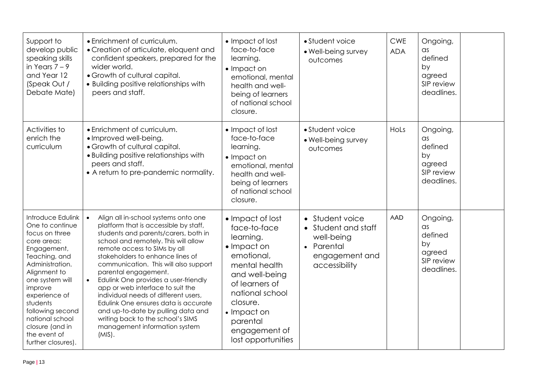| Support to<br>develop public<br>speaking skills<br>in Years $7 - 9$<br>and Year 12<br>(Speak Out /<br>Debate Mate)                                                                                                                                                                                  | • Enrichment of curriculum.<br>• Creation of articulate, eloquent and<br>confident speakers, prepared for the<br>wider world.<br>• Growth of cultural capital.<br>• Building positive relationships with<br>peers and staff.                                                                                                                                                                                                                                                                                                                                                                                      | • Impact of lost<br>face-to-face<br>learning.<br>• Impact on<br>emotional, mental<br>health and well-<br>being of learners<br>of national school<br>closure.                                                                     | • Student voice<br>• Well-being survey<br>outcomes                                                    | <b>CWE</b><br><b>ADA</b> | <b>Ongoing</b><br>as<br>defined<br>by<br>agreed<br>SIP review<br>deadlines.         |  |
|-----------------------------------------------------------------------------------------------------------------------------------------------------------------------------------------------------------------------------------------------------------------------------------------------------|-------------------------------------------------------------------------------------------------------------------------------------------------------------------------------------------------------------------------------------------------------------------------------------------------------------------------------------------------------------------------------------------------------------------------------------------------------------------------------------------------------------------------------------------------------------------------------------------------------------------|----------------------------------------------------------------------------------------------------------------------------------------------------------------------------------------------------------------------------------|-------------------------------------------------------------------------------------------------------|--------------------------|-------------------------------------------------------------------------------------|--|
| Activities to<br>enrich the<br>curriculum                                                                                                                                                                                                                                                           | • Enrichment of curriculum.<br>• Improved well-being.<br>• Growth of cultural capital.<br>• Building positive relationships with<br>peers and staff.<br>• A return to pre-pandemic normality.                                                                                                                                                                                                                                                                                                                                                                                                                     | • Impact of lost<br>face-to-face<br>learning.<br>• Impact on<br>emotional, mental<br>health and well-<br>being of learners<br>of national school<br>closure.                                                                     | • Student voice<br>• Well-being survey<br>outcomes                                                    | HoLs                     | Ongoing,<br>$\alpha$ s<br>defined<br>by<br>agreed<br>SIP review<br>deadlines.       |  |
| Introduce Edulink<br>One to continue<br>focus on three<br>core areas:<br>Engagement,<br>Teaching, and<br>Administration.<br>Alignment to<br>one system will<br>improve<br>experience of<br>students<br>following second<br>national school<br>closure (and in<br>the event of<br>further closures). | $\bullet$<br>Align all in-school systems onto one<br>platform that is accessible by staff,<br>students and parents/carers, both in<br>school and remotely. This will allow<br>remote access to SIMs by all<br>stakeholders to enhance lines of<br>communication. This will also support<br>parental engagement.<br>Edulink One provides a user-friendly<br>$\bullet$<br>app or web interface to suit the<br>individual needs of different users,<br>Edulink One ensures data is accurate<br>and up-to-date by pulling data and<br>writing back to the school's SIMS<br>management information system<br>$(MIS)$ . | • Impact of lost<br>face-to-face<br>learning.<br>• Impact on<br>emotional,<br>mental health<br>and well-being<br>of learners of<br>national school<br>closure.<br>• Impact on<br>parental<br>engagement of<br>lost opportunities | • Student voice<br>• Student and staff<br>well-being<br>• Parental<br>engagement and<br>accessibility | <b>AAD</b>               | <b>Ongoing</b><br>$\alpha$ s<br>defined<br>by<br>agreed<br>SIP review<br>deadlines. |  |